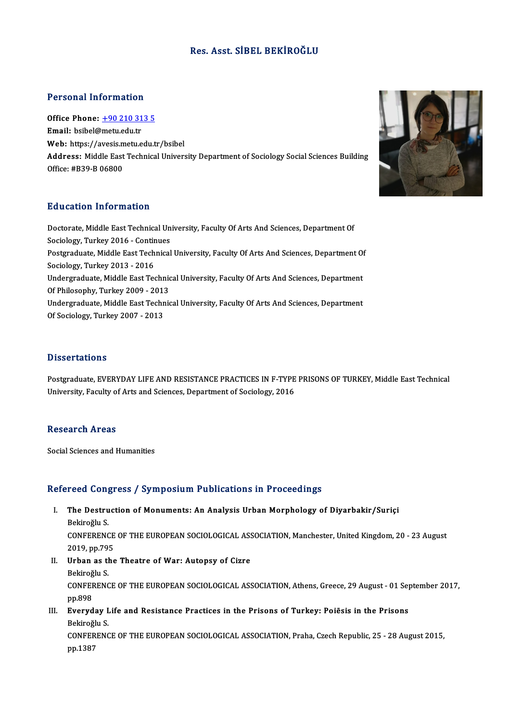## Res. Asst. SİBEL BEKİROĞLU

## Personal Information

Office Phone: +90 210 313 5 Email: bsibel@[metu.edu.tr](tel:+90 210 313 5) Office Phone: <u>+90 210 313 5</u><br>Email: bsibel@metu.edu.tr<br>Web: https://avesis.metu.edu.tr/bsibel<br>Address: Middle Fest Technical Univers Address: Middle East Technical University Department of Sociology Social Sciences Building<br>Office: #B39-B 06800 Web: https://avesis.m<br>Address: Middle East<br>Office: #B39-B 06800

## Education Information

Education Information<br>Doctorate, Middle East Technical University, Faculty Of Arts And Sciences, Department Of But deather Triver Interest<br>Doctorate, Middle East Technical Un<br>Sociology, Turkey 2016 - Continues Doctorate, Middle East Technical University, Faculty Of Arts And Sciences, Department Of<br>Sociology, Turkey 2016 - Continues<br>Postgraduate, Middle East Technical University, Faculty Of Arts And Sciences, Department Of<br>Sociol Sociology, Turkey 2016 - Contin<br>Postgraduate, Middle East Tech<br>Sociology, Turkey 2013 - 2016<br>Undergraduate, Middle Fast Tec Postgraduate, Middle East Technical University, Faculty Of Arts And Sciences, Department Of<br>Sociology, Turkey 2013 - 2016<br>Undergraduate, Middle East Technical University, Faculty Of Arts And Sciences, Department<br>Of Philoso Sociology, Turkey 2013 - 2016<br>Undergraduate, Middle East Technic<br>Of Philosophy, Turkey 2009 - 2013<br>Undergraduate Middle East Technic Undergraduate, Middle East Technical University, Faculty Of Arts And Sciences, Department<br>Of Philosophy, Turkey 2009 - 2013<br>Undergraduate, Middle East Technical University, Faculty Of Arts And Sciences, Department<br>Of Secio Of Philosophy, Turkey 2009 - 2013<br>Undergraduate, Middle East Technical University, Faculty Of Arts And Sciences, Department<br>Of Sociology, Turkey 2007 - 2013

### **Dissertations**

Dissertations<br>Postgraduate, EVERYDAY LIFE AND RESISTANCE PRACTICES IN F-TYPE PRISONS OF TURKEY, Middle East Technical<br>University, Easylty of Arts and Sciences, Department of Secielesy, 2016 Dissol cations<br>Postgraduate, EVERYDAY LIFE AND RESISTANCE PRACTICES IN F-TYPE<br>University, Faculty of Arts and Sciences, Department of Sociology, 2016 University, Faculty of Arts and Sciences, Department of Sociology, 2016<br>Research Areas

Social Sciences and Humanities

## Refereed Congress / Symposium Publications in Proceedings

efereed Congress / Symposium Publications in Proceedings<br>I. The Destruction of Monuments: An Analysis Urban Morphology of Diyarbakir/Suriçi Teca con<sub>t</sub><br>The Destru<br>Bekiroğlu S.<br>CONEERENC The Destruction of Monuments: An Analysis Urban Morphology of Diyarbakir/Suriçi<br>Bekiroğlu S.<br>CONFERENCE OF THE EUROPEAN SOCIOLOGICAL ASSOCIATION, Manchester, United Kingdom, 20 - 23 August<br>2019.pp.795 Bekiroğlu S.<br>CONFERENCE<br>2019, pp.795<br>Urban as the

2019, pp.795

II. Urban as the Theatre of War: Autopsy of Cizre<br>Bekiroğlu S. Urban as the Theatre of War: Autopsy of Cizre<br>Bekiroğlu S.<br>CONFERENCE OF THE EUROPEAN SOCIOLOGICAL ASSOCIATION, Athens, Greece, 29 August - 01 September 2017,<br>nn 909 Bekiroğ<br>CONFEF<br>pp.898<br>Everyd CONFERENCE OF THE EUROPEAN SOCIOLOGICAL ASSOCIATION, Athens, Greece, 29 August - 01 Sep<br>pp.898<br>III. Everyday Life and Resistance Practices in the Prisons of Turkey: Poiēsis in the Prisons<br>Polivoğlu S

# pp.898<br>III. Everyday Life and Resistance Practices in the Prisons of Turkey: Poiēsis in the Prisons<br>Bekiroğlu S. Everyday Life and Resistance Practices in the Prisons of Turkey: Poiēsis in the Prisons<br>Bekiroğlu S.<br>CONFERENCE OF THE EUROPEAN SOCIOLOGICAL ASSOCIATION, Praha, Czech Republic, 25 - 28 August 2015,<br>nn 1297

Bekiroğlı<br>CONFERI<br>pp.1387